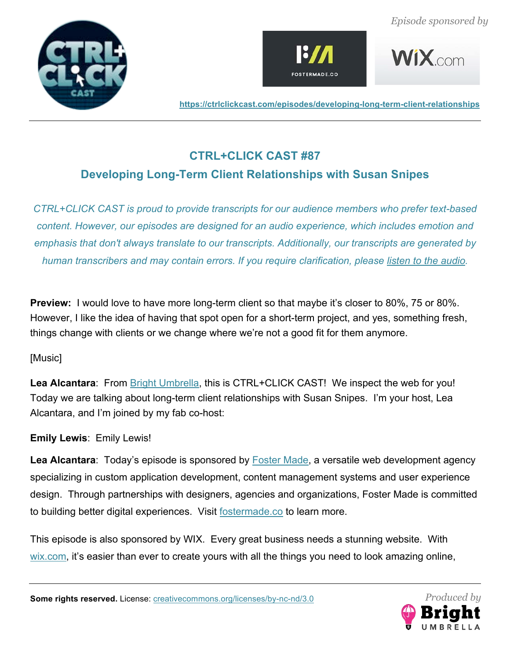







# **CTRL+CLICK CAST #87 Developing Long-Term Client Relationships with Susan Snipes**

*CTRL+CLICK CAST is proud to provide transcripts for our audience members who prefer text-based content. However, our episodes are designed for an audio experience, which includes emotion and emphasis that don't always translate to our transcripts. Additionally, our transcripts are generated by human transcribers and may contain errors. If you require clarification, please listen to the audio.*

**Preview:** I would love to have more long-term client so that maybe it's closer to 80%, 75 or 80%. However, I like the idea of having that spot open for a short-term project, and yes, something fresh, things change with clients or we change where we're not a good fit for them anymore.

# [Music]

**Lea Alcantara**: From Bright Umbrella, this is CTRL+CLICK CAST! We inspect the web for you! Today we are talking about long-term client relationships with Susan Snipes. I'm your host, Lea Alcantara, and I'm joined by my fab co-host:

**Emily Lewis**: Emily Lewis!

Lea Alcantara: Today's episode is sponsored by **Foster Made**, a versatile web development agency specializing in custom application development, content management systems and user experience design. Through partnerships with designers, agencies and organizations, Foster Made is committed to building better digital experiences. Visit fostermade.co to learn more.

This episode is also sponsored by WIX. Every great business needs a stunning website. With wix.com, it's easier than ever to create yours with all the things you need to look amazing online,

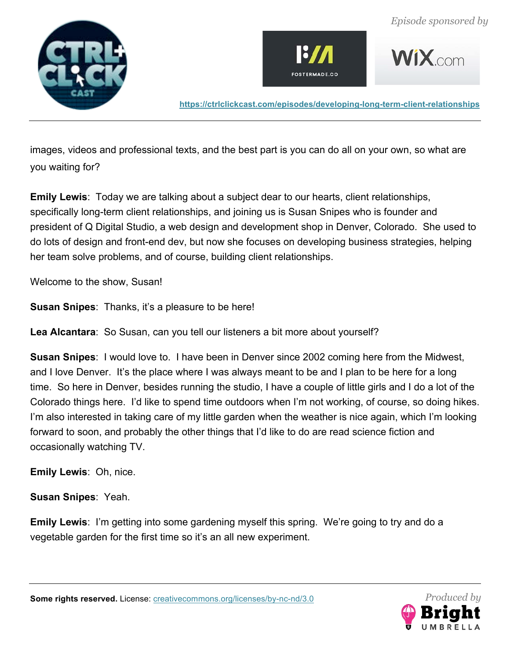







images, videos and professional texts, and the best part is you can do all on your own, so what are you waiting for?

**Emily Lewis**: Today we are talking about a subject dear to our hearts, client relationships, specifically long-term client relationships, and joining us is Susan Snipes who is founder and president of Q Digital Studio, a web design and development shop in Denver, Colorado. She used to do lots of design and front-end dev, but now she focuses on developing business strategies, helping her team solve problems, and of course, building client relationships.

Welcome to the show, Susan!

**Susan Snipes**: Thanks, it's a pleasure to be here!

**Lea Alcantara**: So Susan, can you tell our listeners a bit more about yourself?

**Susan Snipes**: I would love to. I have been in Denver since 2002 coming here from the Midwest, and I love Denver. It's the place where I was always meant to be and I plan to be here for a long time. So here in Denver, besides running the studio, I have a couple of little girls and I do a lot of the Colorado things here. I'd like to spend time outdoors when I'm not working, of course, so doing hikes. I'm also interested in taking care of my little garden when the weather is nice again, which I'm looking forward to soon, and probably the other things that I'd like to do are read science fiction and occasionally watching TV.

**Emily Lewis**: Oh, nice.

**Susan Snipes**: Yeah.

**Emily Lewis**: I'm getting into some gardening myself this spring. We're going to try and do a vegetable garden for the first time so it's an all new experiment.

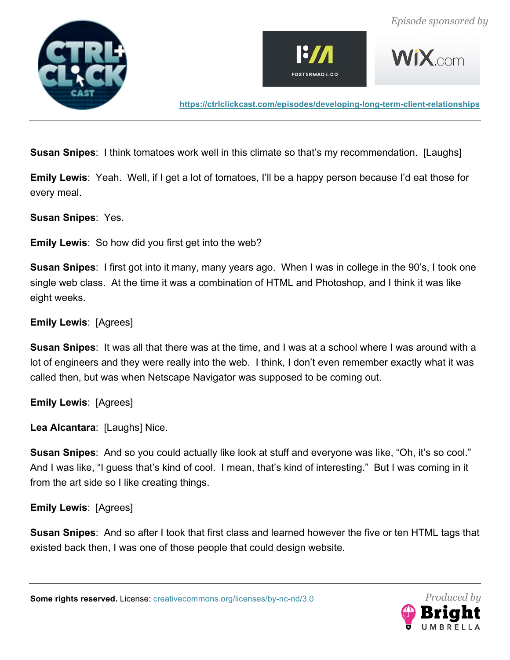





**Susan Snipes**: I think tomatoes work well in this climate so that's my recommendation. [Laughs]

**Emily Lewis**: Yeah. Well, if I get a lot of tomatoes, I'll be a happy person because I'd eat those for every meal.

**Susan Snipes**: Yes.

**Emily Lewis**: So how did you first get into the web?

**Susan Snipes**: I first got into it many, many years ago. When I was in college in the 90's, I took one single web class. At the time it was a combination of HTML and Photoshop, and I think it was like eight weeks.

# **Emily Lewis**: [Agrees]

**Susan Snipes**: It was all that there was at the time, and I was at a school where I was around with a lot of engineers and they were really into the web. I think, I don't even remember exactly what it was called then, but was when Netscape Navigator was supposed to be coming out.

**Emily Lewis**: [Agrees]

**Lea Alcantara**: [Laughs] Nice.

**Susan Snipes**: And so you could actually like look at stuff and everyone was like, "Oh, it's so cool." And I was like, "I guess that's kind of cool. I mean, that's kind of interesting." But I was coming in it from the art side so I like creating things.

#### **Emily Lewis**: [Agrees]

**Susan Snipes**: And so after I took that first class and learned however the five or ten HTML tags that existed back then, I was one of those people that could design website.

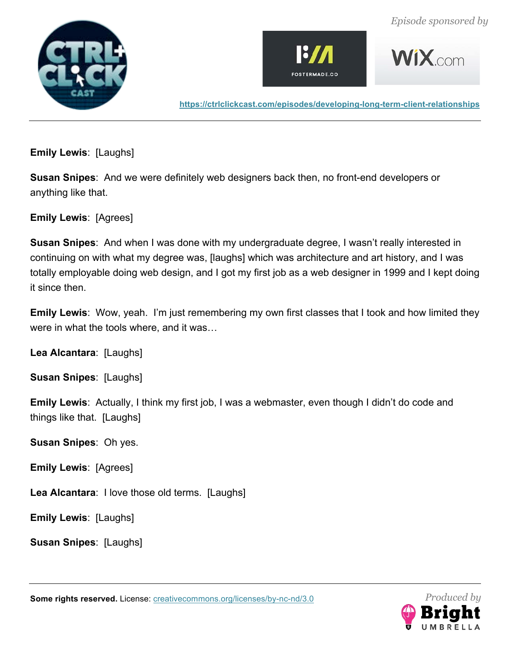





 $WiX$  com

**https://ctrlclickcast.com/episodes/developing-long-term-client-relationships**

**Emily Lewis**: [Laughs]

**Susan Snipes**: And we were definitely web designers back then, no front-end developers or anything like that.

**Emily Lewis**: [Agrees]

**Susan Snipes**: And when I was done with my undergraduate degree, I wasn't really interested in continuing on with what my degree was, [laughs] which was architecture and art history, and I was totally employable doing web design, and I got my first job as a web designer in 1999 and I kept doing it since then.

**Emily Lewis**: Wow, yeah. I'm just remembering my own first classes that I took and how limited they were in what the tools where, and it was…

**Lea Alcantara**: [Laughs]

**Susan Snipes**: [Laughs]

**Emily Lewis**: Actually, I think my first job, I was a webmaster, even though I didn't do code and things like that. [Laughs]

**Susan Snipes**: Oh yes.

**Emily Lewis**: [Agrees]

**Lea Alcantara**: I love those old terms. [Laughs]

**Emily Lewis**: [Laughs]

**Susan Snipes**: [Laughs]

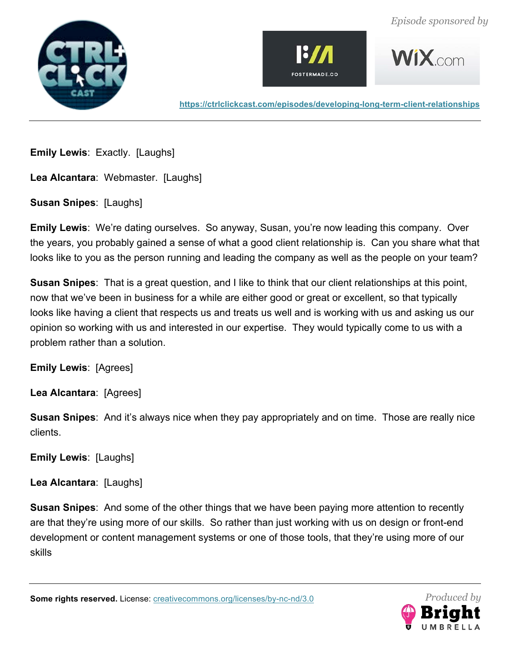





**WIX** com

**https://ctrlclickcast.com/episodes/developing-long-term-client-relationships**

**Emily Lewis**: Exactly. [Laughs]

**Lea Alcantara**: Webmaster. [Laughs]

**Susan Snipes**: [Laughs]

**Emily Lewis**: We're dating ourselves. So anyway, Susan, you're now leading this company. Over the years, you probably gained a sense of what a good client relationship is. Can you share what that looks like to you as the person running and leading the company as well as the people on your team?

**Susan Snipes**: That is a great question, and I like to think that our client relationships at this point, now that we've been in business for a while are either good or great or excellent, so that typically looks like having a client that respects us and treats us well and is working with us and asking us our opinion so working with us and interested in our expertise. They would typically come to us with a problem rather than a solution.

**Emily Lewis**: [Agrees]

**Lea Alcantara**: [Agrees]

**Susan Snipes**: And it's always nice when they pay appropriately and on time. Those are really nice clients.

**Emily Lewis**: [Laughs]

**Lea Alcantara**: [Laughs]

**Susan Snipes**: And some of the other things that we have been paying more attention to recently are that they're using more of our skills. So rather than just working with us on design or front-end development or content management systems or one of those tools, that they're using more of our skills

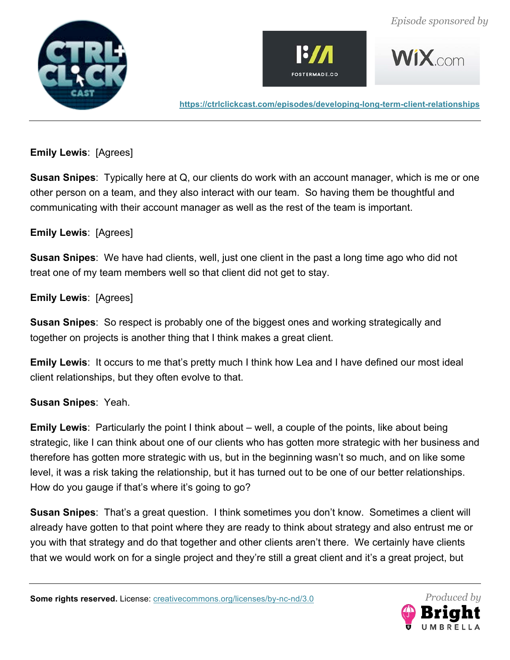







#### **Emily Lewis**: [Agrees]

**Susan Snipes**: Typically here at Q, our clients do work with an account manager, which is me or one other person on a team, and they also interact with our team. So having them be thoughtful and communicating with their account manager as well as the rest of the team is important.

#### **Emily Lewis**: [Agrees]

**Susan Snipes**: We have had clients, well, just one client in the past a long time ago who did not treat one of my team members well so that client did not get to stay.

#### **Emily Lewis**: [Agrees]

**Susan Snipes**: So respect is probably one of the biggest ones and working strategically and together on projects is another thing that I think makes a great client.

**Emily Lewis**: It occurs to me that's pretty much I think how Lea and I have defined our most ideal client relationships, but they often evolve to that.

#### **Susan Snipes**: Yeah.

**Emily Lewis**: Particularly the point I think about – well, a couple of the points, like about being strategic, like I can think about one of our clients who has gotten more strategic with her business and therefore has gotten more strategic with us, but in the beginning wasn't so much, and on like some level, it was a risk taking the relationship, but it has turned out to be one of our better relationships. How do you gauge if that's where it's going to go?

**Susan Snipes**: That's a great question. I think sometimes you don't know. Sometimes a client will already have gotten to that point where they are ready to think about strategy and also entrust me or you with that strategy and do that together and other clients aren't there. We certainly have clients that we would work on for a single project and they're still a great client and it's a great project, but

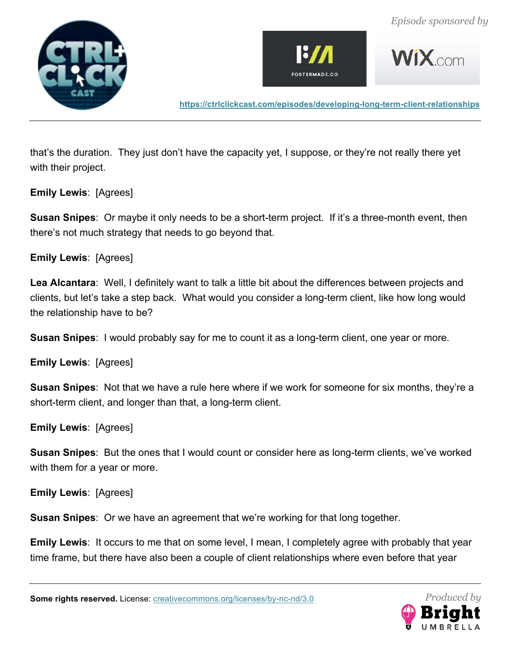







that's the duration. They just don't have the capacity yet, I suppose, or they're not really there yet with their project.

**Emily Lewis**: [Agrees]

**Susan Snipes**: Or maybe it only needs to be a short-term project. If it's a three-month event, then there's not much strategy that needs to go beyond that.

**Emily Lewis**: [Agrees]

**Lea Alcantara**: Well, I definitely want to talk a little bit about the differences between projects and clients, but let's take a step back. What would you consider a long-term client, like how long would the relationship have to be?

**Susan Snipes**: I would probably say for me to count it as a long-term client, one year or more.

**Emily Lewis**: [Agrees]

**Susan Snipes**: Not that we have a rule here where if we work for someone for six months, they're a short-term client, and longer than that, a long-term client.

**Emily Lewis**: [Agrees]

**Susan Snipes**: But the ones that I would count or consider here as long-term clients, we've worked with them for a year or more.

**Emily Lewis**: [Agrees]

**Susan Snipes**: Or we have an agreement that we're working for that long together.

**Emily Lewis**: It occurs to me that on some level, I mean, I completely agree with probably that year time frame, but there have also been a couple of client relationships where even before that year

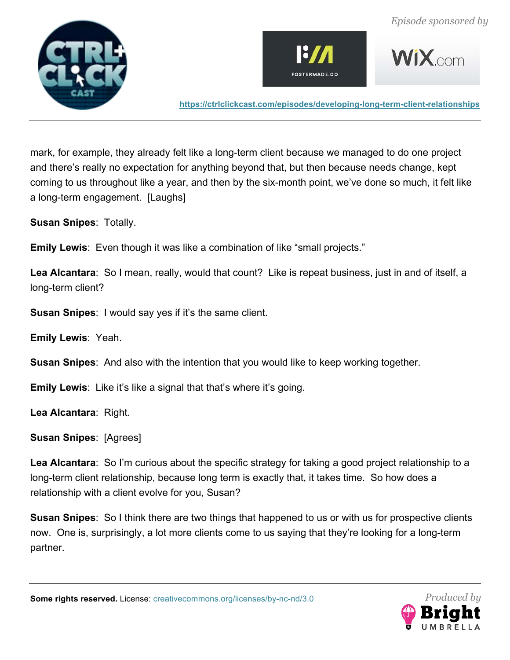





mark, for example, they already felt like a long-term client because we managed to do one project and there's really no expectation for anything beyond that, but then because needs change, kept coming to us throughout like a year, and then by the six-month point, we've done so much, it felt like a long-term engagement. [Laughs]

**Susan Snipes**: Totally.

**Emily Lewis**: Even though it was like a combination of like "small projects."

**Lea Alcantara**: So I mean, really, would that count? Like is repeat business, just in and of itself, a long-term client?

**Susan Snipes**: I would say yes if it's the same client.

**Emily Lewis**: Yeah.

**Susan Snipes**: And also with the intention that you would like to keep working together.

**Emily Lewis**: Like it's like a signal that that's where it's going.

**Lea Alcantara**: Right.

**Susan Snipes**: [Agrees]

**Lea Alcantara**: So I'm curious about the specific strategy for taking a good project relationship to a long-term client relationship, because long term is exactly that, it takes time. So how does a relationship with a client evolve for you, Susan?

**Susan Snipes**: So I think there are two things that happened to us or with us for prospective clients now. One is, surprisingly, a lot more clients come to us saying that they're looking for a long-term partner.

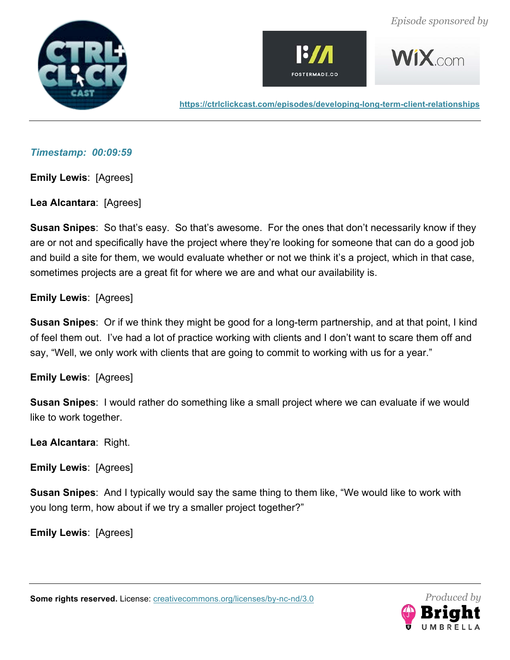





#### *Timestamp: 00:09:59*

**Emily Lewis**: [Agrees]

**Lea Alcantara**: [Agrees]

**Susan Snipes**: So that's easy. So that's awesome. For the ones that don't necessarily know if they are or not and specifically have the project where they're looking for someone that can do a good job and build a site for them, we would evaluate whether or not we think it's a project, which in that case, sometimes projects are a great fit for where we are and what our availability is.

# **Emily Lewis**: [Agrees]

**Susan Snipes**: Or if we think they might be good for a long-term partnership, and at that point, I kind of feel them out. I've had a lot of practice working with clients and I don't want to scare them off and say, "Well, we only work with clients that are going to commit to working with us for a year."

#### **Emily Lewis**: [Agrees]

**Susan Snipes**: I would rather do something like a small project where we can evaluate if we would like to work together.

**Lea Alcantara**: Right.

**Emily Lewis**: [Agrees]

**Susan Snipes**: And I typically would say the same thing to them like, "We would like to work with you long term, how about if we try a smaller project together?"

**Emily Lewis**: [Agrees]

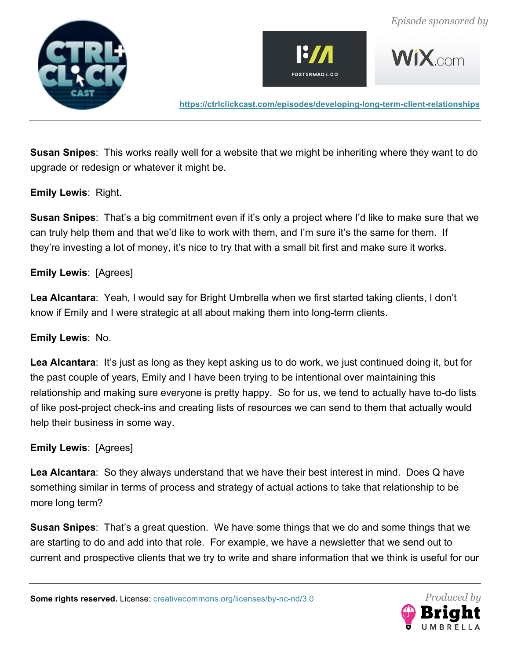







**Susan Snipes**: This works really well for a website that we might be inheriting where they want to do upgrade or redesign or whatever it might be.

# **Emily Lewis**: Right.

**Susan Snipes**: That's a big commitment even if it's only a project where I'd like to make sure that we can truly help them and that we'd like to work with them, and I'm sure it's the same for them. If they're investing a lot of money, it's nice to try that with a small bit first and make sure it works.

#### **Emily Lewis**: [Agrees]

**Lea Alcantara**: Yeah, I would say for Bright Umbrella when we first started taking clients, I don't know if Emily and I were strategic at all about making them into long-term clients.

#### **Emily Lewis**: No.

**Lea Alcantara**: It's just as long as they kept asking us to do work, we just continued doing it, but for the past couple of years, Emily and I have been trying to be intentional over maintaining this relationship and making sure everyone is pretty happy. So for us, we tend to actually have to-do lists of like post-project check-ins and creating lists of resources we can send to them that actually would help their business in some way.

#### **Emily Lewis**: [Agrees]

**Lea Alcantara**: So they always understand that we have their best interest in mind. Does Q have something similar in terms of process and strategy of actual actions to take that relationship to be more long term?

**Susan Snipes**: That's a great question. We have some things that we do and some things that we are starting to do and add into that role. For example, we have a newsletter that we send out to current and prospective clients that we try to write and share information that we think is useful for our

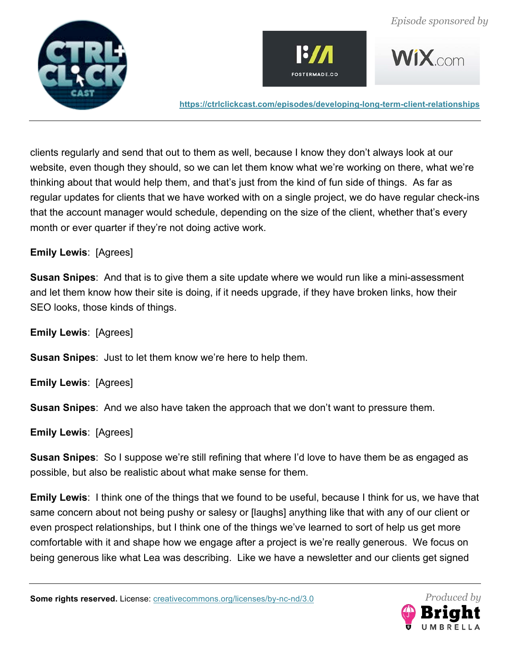





clients regularly and send that out to them as well, because I know they don't always look at our website, even though they should, so we can let them know what we're working on there, what we're thinking about that would help them, and that's just from the kind of fun side of things. As far as regular updates for clients that we have worked with on a single project, we do have regular check-ins that the account manager would schedule, depending on the size of the client, whether that's every month or ever quarter if they're not doing active work.

#### **Emily Lewis**: [Agrees]

**Susan Snipes**: And that is to give them a site update where we would run like a mini-assessment and let them know how their site is doing, if it needs upgrade, if they have broken links, how their SEO looks, those kinds of things.

**Emily Lewis**: [Agrees]

**Susan Snipes**: Just to let them know we're here to help them.

**Emily Lewis**: [Agrees]

**Susan Snipes**: And we also have taken the approach that we don't want to pressure them.

**Emily Lewis**: [Agrees]

**Susan Snipes**: So I suppose we're still refining that where I'd love to have them be as engaged as possible, but also be realistic about what make sense for them.

**Emily Lewis**: I think one of the things that we found to be useful, because I think for us, we have that same concern about not being pushy or salesy or [laughs] anything like that with any of our client or even prospect relationships, but I think one of the things we've learned to sort of help us get more comfortable with it and shape how we engage after a project is we're really generous. We focus on being generous like what Lea was describing. Like we have a newsletter and our clients get signed

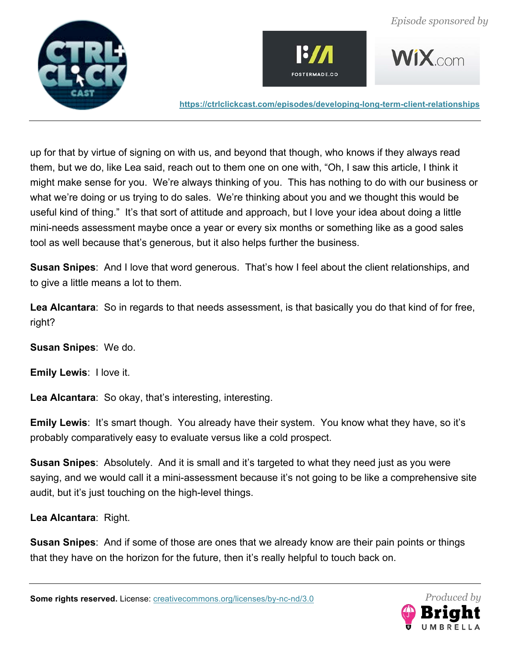





up for that by virtue of signing on with us, and beyond that though, who knows if they always read them, but we do, like Lea said, reach out to them one on one with, "Oh, I saw this article, I think it might make sense for you. We're always thinking of you. This has nothing to do with our business or what we're doing or us trying to do sales. We're thinking about you and we thought this would be useful kind of thing." It's that sort of attitude and approach, but I love your idea about doing a little mini-needs assessment maybe once a year or every six months or something like as a good sales tool as well because that's generous, but it also helps further the business.

**Susan Snipes**: And I love that word generous. That's how I feel about the client relationships, and to give a little means a lot to them.

**Lea Alcantara**: So in regards to that needs assessment, is that basically you do that kind of for free, right?

**Susan Snipes**: We do.

**Emily Lewis**: I love it.

**Lea Alcantara**: So okay, that's interesting, interesting.

**Emily Lewis**: It's smart though. You already have their system. You know what they have, so it's probably comparatively easy to evaluate versus like a cold prospect.

**Susan Snipes**: Absolutely. And it is small and it's targeted to what they need just as you were saying, and we would call it a mini-assessment because it's not going to be like a comprehensive site audit, but it's just touching on the high-level things.

**Lea Alcantara**: Right.

**Susan Snipes**: And if some of those are ones that we already know are their pain points or things that they have on the horizon for the future, then it's really helpful to touch back on.

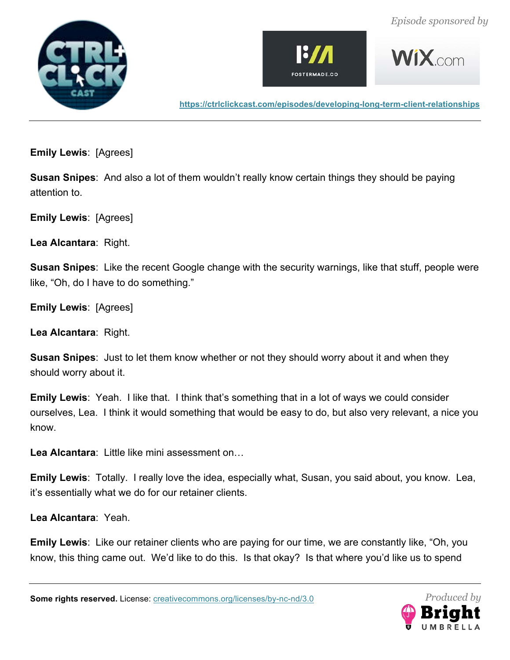





 $WiX$  com

**https://ctrlclickcast.com/episodes/developing-long-term-client-relationships**

**Emily Lewis**: [Agrees]

**Susan Snipes**: And also a lot of them wouldn't really know certain things they should be paying attention to.

**Emily Lewis**: [Agrees]

**Lea Alcantara**: Right.

**Susan Snipes**: Like the recent Google change with the security warnings, like that stuff, people were like, "Oh, do I have to do something."

**Emily Lewis**: [Agrees]

**Lea Alcantara**: Right.

**Susan Snipes**: Just to let them know whether or not they should worry about it and when they should worry about it.

**Emily Lewis**: Yeah. I like that. I think that's something that in a lot of ways we could consider ourselves, Lea. I think it would something that would be easy to do, but also very relevant, a nice you know.

**Lea Alcantara**: Little like mini assessment on…

**Emily Lewis**: Totally. I really love the idea, especially what, Susan, you said about, you know. Lea, it's essentially what we do for our retainer clients.

**Lea Alcantara**: Yeah.

**Emily Lewis**: Like our retainer clients who are paying for our time, we are constantly like, "Oh, you know, this thing came out. We'd like to do this. Is that okay? Is that where you'd like us to spend

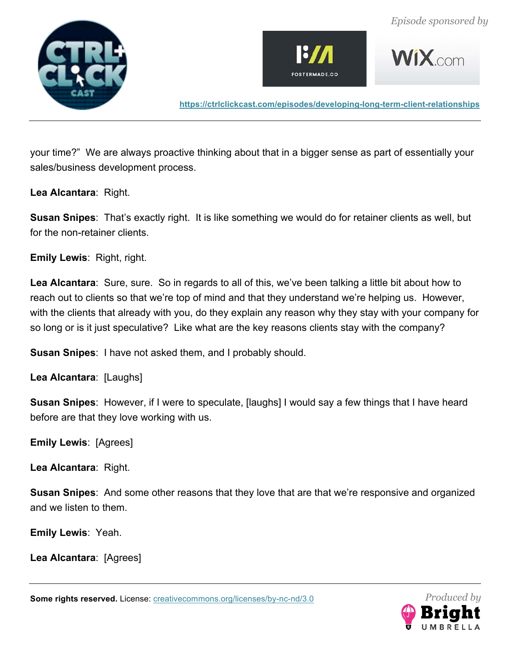





**WIX** com

**https://ctrlclickcast.com/episodes/developing-long-term-client-relationships**

your time?" We are always proactive thinking about that in a bigger sense as part of essentially your sales/business development process.

**Lea Alcantara**: Right.

**Susan Snipes**: That's exactly right. It is like something we would do for retainer clients as well, but for the non-retainer clients.

**Emily Lewis**: Right, right.

**Lea Alcantara**: Sure, sure. So in regards to all of this, we've been talking a little bit about how to reach out to clients so that we're top of mind and that they understand we're helping us. However, with the clients that already with you, do they explain any reason why they stay with your company for so long or is it just speculative? Like what are the key reasons clients stay with the company?

**Susan Snipes**: I have not asked them, and I probably should.

**Lea Alcantara**: [Laughs]

**Susan Snipes**: However, if I were to speculate, [laughs] I would say a few things that I have heard before are that they love working with us.

**Emily Lewis**: [Agrees]

**Lea Alcantara**: Right.

**Susan Snipes**: And some other reasons that they love that are that we're responsive and organized and we listen to them.

**Emily Lewis**: Yeah.

**Lea Alcantara**: [Agrees]

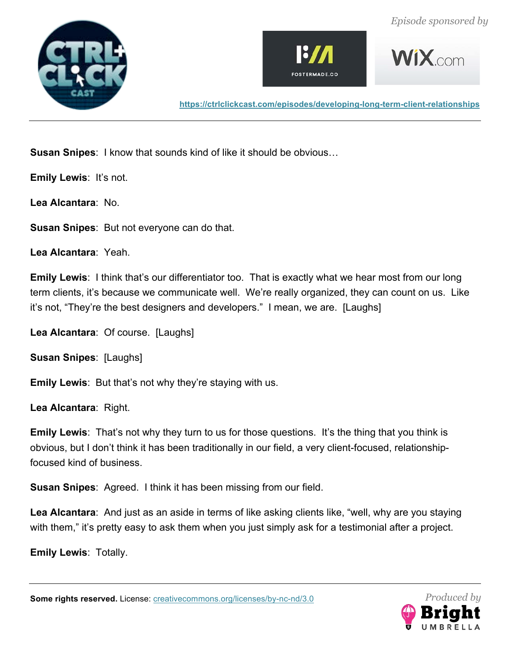







**Susan Snipes**: I know that sounds kind of like it should be obvious…

**Emily Lewis**: It's not.

**Lea Alcantara**: No.

**Susan Snipes**: But not everyone can do that.

**Lea Alcantara**: Yeah.

**Emily Lewis**: I think that's our differentiator too. That is exactly what we hear most from our long term clients, it's because we communicate well. We're really organized, they can count on us. Like it's not, "They're the best designers and developers." I mean, we are. [Laughs]

**Lea Alcantara**: Of course. [Laughs]

**Susan Snipes**: [Laughs]

**Emily Lewis**: But that's not why they're staying with us.

**Lea Alcantara**: Right.

**Emily Lewis**: That's not why they turn to us for those questions. It's the thing that you think is obvious, but I don't think it has been traditionally in our field, a very client-focused, relationshipfocused kind of business.

**Susan Snipes**: Agreed. I think it has been missing from our field.

**Lea Alcantara**: And just as an aside in terms of like asking clients like, "well, why are you staying with them," it's pretty easy to ask them when you just simply ask for a testimonial after a project.

**Emily Lewis**: Totally.

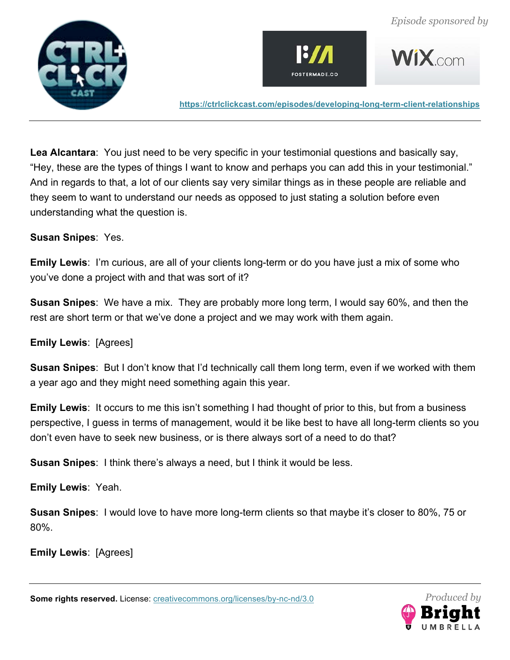





**Lea Alcantara**: You just need to be very specific in your testimonial questions and basically say, "Hey, these are the types of things I want to know and perhaps you can add this in your testimonial." And in regards to that, a lot of our clients say very similar things as in these people are reliable and they seem to want to understand our needs as opposed to just stating a solution before even understanding what the question is.

#### **Susan Snipes**: Yes.

**Emily Lewis**: I'm curious, are all of your clients long-term or do you have just a mix of some who you've done a project with and that was sort of it?

**Susan Snipes**: We have a mix. They are probably more long term, I would say 60%, and then the rest are short term or that we've done a project and we may work with them again.

# **Emily Lewis**: [Agrees]

**Susan Snipes**: But I don't know that I'd technically call them long term, even if we worked with them a year ago and they might need something again this year.

**Emily Lewis**: It occurs to me this isn't something I had thought of prior to this, but from a business perspective, I guess in terms of management, would it be like best to have all long-term clients so you don't even have to seek new business, or is there always sort of a need to do that?

**Susan Snipes**: I think there's always a need, but I think it would be less.

**Emily Lewis**: Yeah.

**Susan Snipes**: I would love to have more long-term clients so that maybe it's closer to 80%, 75 or 80%.

**Emily Lewis**: [Agrees]

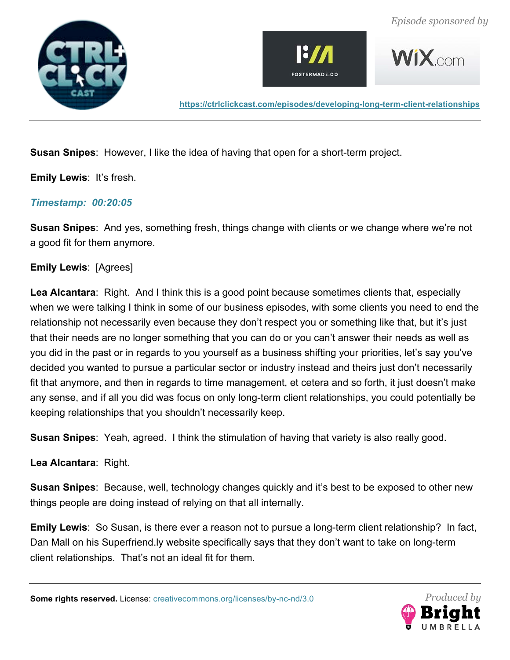







**Susan Snipes**: However, I like the idea of having that open for a short-term project.

**Emily Lewis**: It's fresh.

# *Timestamp: 00:20:05*

**Susan Snipes**: And yes, something fresh, things change with clients or we change where we're not a good fit for them anymore.

# **Emily Lewis**: [Agrees]

**Lea Alcantara**: Right. And I think this is a good point because sometimes clients that, especially when we were talking I think in some of our business episodes, with some clients you need to end the relationship not necessarily even because they don't respect you or something like that, but it's just that their needs are no longer something that you can do or you can't answer their needs as well as you did in the past or in regards to you yourself as a business shifting your priorities, let's say you've decided you wanted to pursue a particular sector or industry instead and theirs just don't necessarily fit that anymore, and then in regards to time management, et cetera and so forth, it just doesn't make any sense, and if all you did was focus on only long-term client relationships, you could potentially be keeping relationships that you shouldn't necessarily keep.

**Susan Snipes**: Yeah, agreed. I think the stimulation of having that variety is also really good.

**Lea Alcantara**: Right.

**Susan Snipes**: Because, well, technology changes quickly and it's best to be exposed to other new things people are doing instead of relying on that all internally.

**Emily Lewis**: So Susan, is there ever a reason not to pursue a long-term client relationship? In fact, Dan Mall on his Superfriend.ly website specifically says that they don't want to take on long-term client relationships. That's not an ideal fit for them.

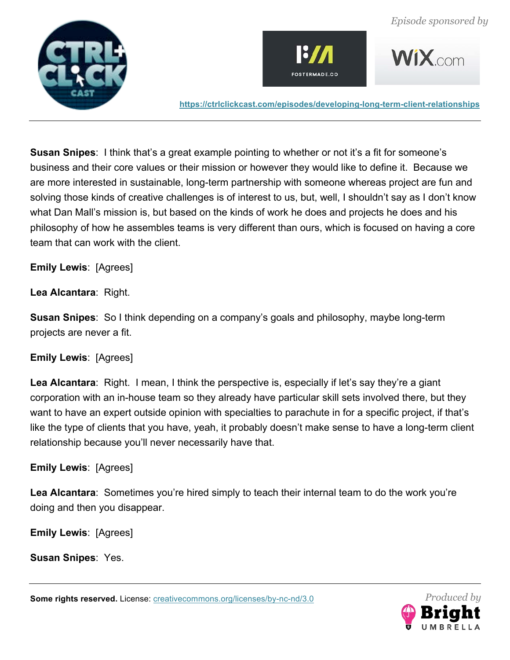





**Susan Snipes**: I think that's a great example pointing to whether or not it's a fit for someone's business and their core values or their mission or however they would like to define it. Because we are more interested in sustainable, long-term partnership with someone whereas project are fun and solving those kinds of creative challenges is of interest to us, but, well, I shouldn't say as I don't know what Dan Mall's mission is, but based on the kinds of work he does and projects he does and his philosophy of how he assembles teams is very different than ours, which is focused on having a core team that can work with the client.

**Emily Lewis**: [Agrees]

**Lea Alcantara**: Right.

**Susan Snipes**: So I think depending on a company's goals and philosophy, maybe long-term projects are never a fit.

# **Emily Lewis**: [Agrees]

**Lea Alcantara**: Right. I mean, I think the perspective is, especially if let's say they're a giant corporation with an in-house team so they already have particular skill sets involved there, but they want to have an expert outside opinion with specialties to parachute in for a specific project, if that's like the type of clients that you have, yeah, it probably doesn't make sense to have a long-term client relationship because you'll never necessarily have that.

# **Emily Lewis**: [Agrees]

**Lea Alcantara**: Sometimes you're hired simply to teach their internal team to do the work you're doing and then you disappear.

**Emily Lewis**: [Agrees]

**Susan Snipes**: Yes.

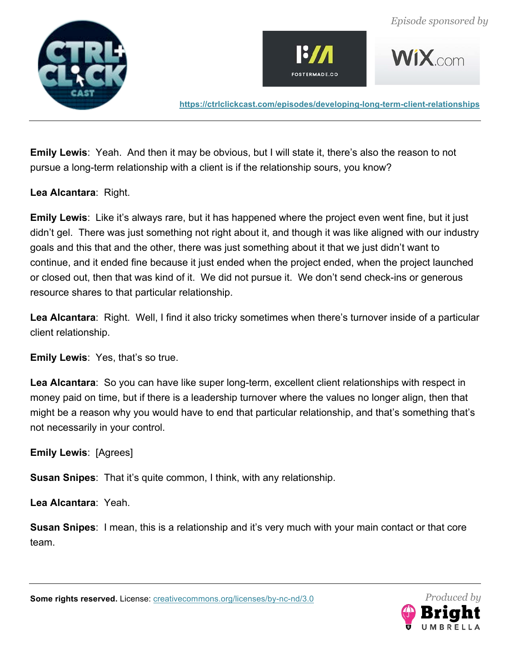





**WIX**com

**https://ctrlclickcast.com/episodes/developing-long-term-client-relationships**

**Emily Lewis**: Yeah. And then it may be obvious, but I will state it, there's also the reason to not pursue a long-term relationship with a client is if the relationship sours, you know?

**Lea Alcantara**: Right.

**Emily Lewis**: Like it's always rare, but it has happened where the project even went fine, but it just didn't gel. There was just something not right about it, and though it was like aligned with our industry goals and this that and the other, there was just something about it that we just didn't want to continue, and it ended fine because it just ended when the project ended, when the project launched or closed out, then that was kind of it. We did not pursue it. We don't send check-ins or generous resource shares to that particular relationship.

**Lea Alcantara**: Right. Well, I find it also tricky sometimes when there's turnover inside of a particular client relationship.

**Emily Lewis: Yes, that's so true.** 

Lea Alcantara: So you can have like super long-term, excellent client relationships with respect in money paid on time, but if there is a leadership turnover where the values no longer align, then that might be a reason why you would have to end that particular relationship, and that's something that's not necessarily in your control.

**Emily Lewis**: [Agrees]

**Susan Snipes**: That it's quite common, I think, with any relationship.

**Lea Alcantara**: Yeah.

**Susan Snipes**: I mean, this is a relationship and it's very much with your main contact or that core team.

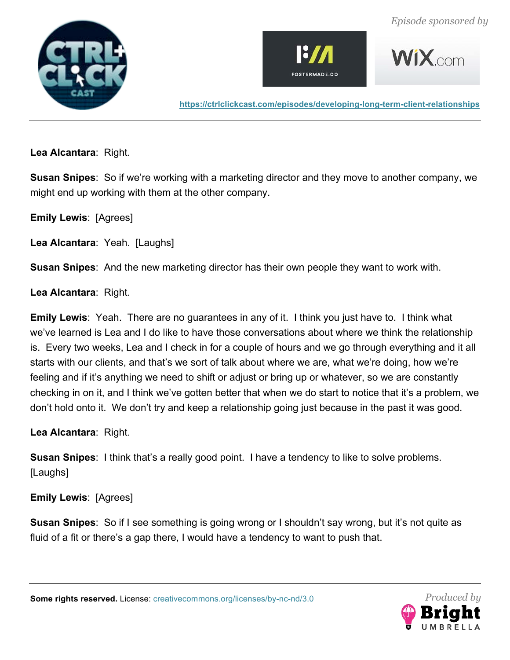







**Lea Alcantara**: Right.

**Susan Snipes**: So if we're working with a marketing director and they move to another company, we might end up working with them at the other company.

**Emily Lewis**: [Agrees]

**Lea Alcantara**: Yeah. [Laughs]

**Susan Snipes**: And the new marketing director has their own people they want to work with.

#### **Lea Alcantara**: Right.

**Emily Lewis**: Yeah. There are no guarantees in any of it. I think you just have to. I think what we've learned is Lea and I do like to have those conversations about where we think the relationship is. Every two weeks, Lea and I check in for a couple of hours and we go through everything and it all starts with our clients, and that's we sort of talk about where we are, what we're doing, how we're feeling and if it's anything we need to shift or adjust or bring up or whatever, so we are constantly checking in on it, and I think we've gotten better that when we do start to notice that it's a problem, we don't hold onto it. We don't try and keep a relationship going just because in the past it was good.

**Lea Alcantara**: Right.

**Susan Snipes**: I think that's a really good point. I have a tendency to like to solve problems. [Laughs]

# **Emily Lewis**: [Agrees]

**Susan Snipes**: So if I see something is going wrong or I shouldn't say wrong, but it's not quite as fluid of a fit or there's a gap there, I would have a tendency to want to push that.

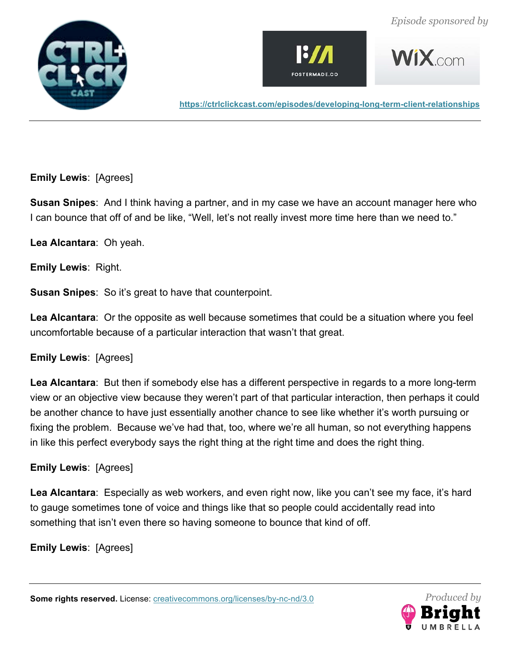







**Emily Lewis**: [Agrees]

**Susan Snipes**: And I think having a partner, and in my case we have an account manager here who I can bounce that off of and be like, "Well, let's not really invest more time here than we need to."

**Lea Alcantara**: Oh yeah.

**Emily Lewis**: Right.

**Susan Snipes**: So it's great to have that counterpoint.

**Lea Alcantara**: Or the opposite as well because sometimes that could be a situation where you feel uncomfortable because of a particular interaction that wasn't that great.

#### **Emily Lewis**: [Agrees]

**Lea Alcantara**: But then if somebody else has a different perspective in regards to a more long-term view or an objective view because they weren't part of that particular interaction, then perhaps it could be another chance to have just essentially another chance to see like whether it's worth pursuing or fixing the problem. Because we've had that, too, where we're all human, so not everything happens in like this perfect everybody says the right thing at the right time and does the right thing.

# **Emily Lewis**: [Agrees]

**Lea Alcantara**: Especially as web workers, and even right now, like you can't see my face, it's hard to gauge sometimes tone of voice and things like that so people could accidentally read into something that isn't even there so having someone to bounce that kind of off.

**Emily Lewis**: [Agrees]

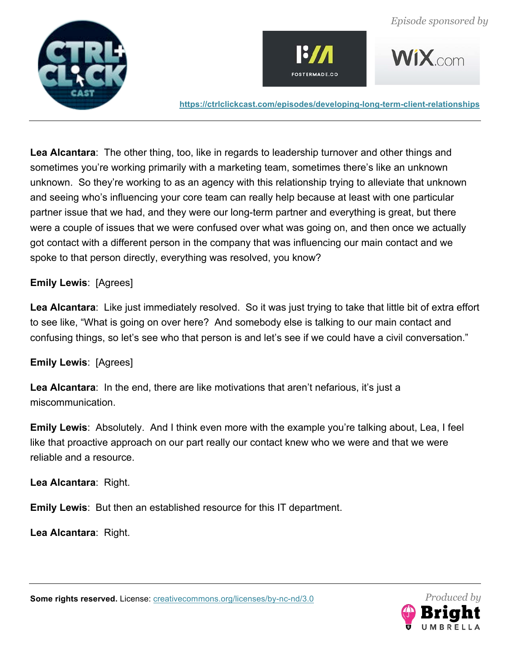





**Lea Alcantara**: The other thing, too, like in regards to leadership turnover and other things and sometimes you're working primarily with a marketing team, sometimes there's like an unknown unknown. So they're working to as an agency with this relationship trying to alleviate that unknown and seeing who's influencing your core team can really help because at least with one particular partner issue that we had, and they were our long-term partner and everything is great, but there were a couple of issues that we were confused over what was going on, and then once we actually got contact with a different person in the company that was influencing our main contact and we spoke to that person directly, everything was resolved, you know?

#### **Emily Lewis**: [Agrees]

**Lea Alcantara**: Like just immediately resolved. So it was just trying to take that little bit of extra effort to see like, "What is going on over here? And somebody else is talking to our main contact and confusing things, so let's see who that person is and let's see if we could have a civil conversation."

# **Emily Lewis**: [Agrees]

**Lea Alcantara**: In the end, there are like motivations that aren't nefarious, it's just a miscommunication.

**Emily Lewis**: Absolutely. And I think even more with the example you're talking about, Lea, I feel like that proactive approach on our part really our contact knew who we were and that we were reliable and a resource.

**Lea Alcantara**: Right.

**Emily Lewis**: But then an established resource for this IT department.

**Lea Alcantara**: Right.

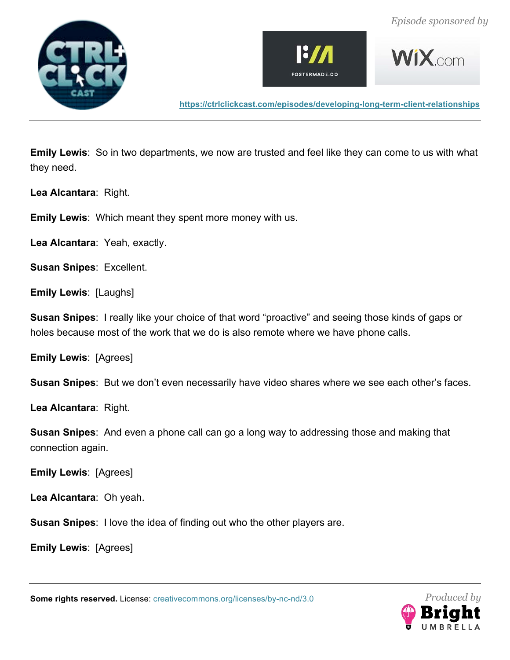







**Emily Lewis**: So in two departments, we now are trusted and feel like they can come to us with what they need.

**Lea Alcantara**: Right.

**Emily Lewis**: Which meant they spent more money with us.

**Lea Alcantara**: Yeah, exactly.

**Susan Snipes**: Excellent.

**Emily Lewis**: [Laughs]

**Susan Snipes**: I really like your choice of that word "proactive" and seeing those kinds of gaps or holes because most of the work that we do is also remote where we have phone calls.

**Emily Lewis**: [Agrees]

**Susan Snipes**: But we don't even necessarily have video shares where we see each other's faces.

**Lea Alcantara**: Right.

**Susan Snipes**: And even a phone call can go a long way to addressing those and making that connection again.

**Emily Lewis**: [Agrees]

**Lea Alcantara**: Oh yeah.

**Susan Snipes**: I love the idea of finding out who the other players are.

**Emily Lewis**: [Agrees]

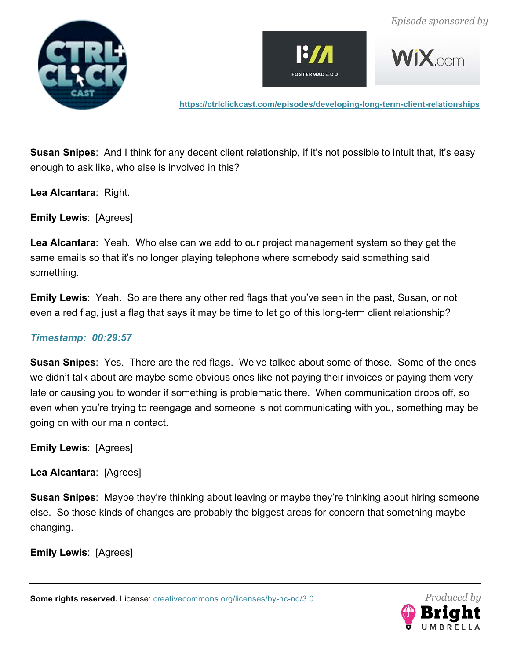







**Susan Snipes**: And I think for any decent client relationship, if it's not possible to intuit that, it's easy enough to ask like, who else is involved in this?

**Lea Alcantara**: Right.

**Emily Lewis**: [Agrees]

**Lea Alcantara**: Yeah. Who else can we add to our project management system so they get the same emails so that it's no longer playing telephone where somebody said something said something.

**Emily Lewis**: Yeah. So are there any other red flags that you've seen in the past, Susan, or not even a red flag, just a flag that says it may be time to let go of this long-term client relationship?

# *Timestamp: 00:29:57*

**Susan Snipes**: Yes. There are the red flags. We've talked about some of those. Some of the ones we didn't talk about are maybe some obvious ones like not paying their invoices or paying them very late or causing you to wonder if something is problematic there. When communication drops off, so even when you're trying to reengage and someone is not communicating with you, something may be going on with our main contact.

**Emily Lewis**: [Agrees]

**Lea Alcantara**: [Agrees]

**Susan Snipes**: Maybe they're thinking about leaving or maybe they're thinking about hiring someone else. So those kinds of changes are probably the biggest areas for concern that something maybe changing.

**Emily Lewis**: [Agrees]

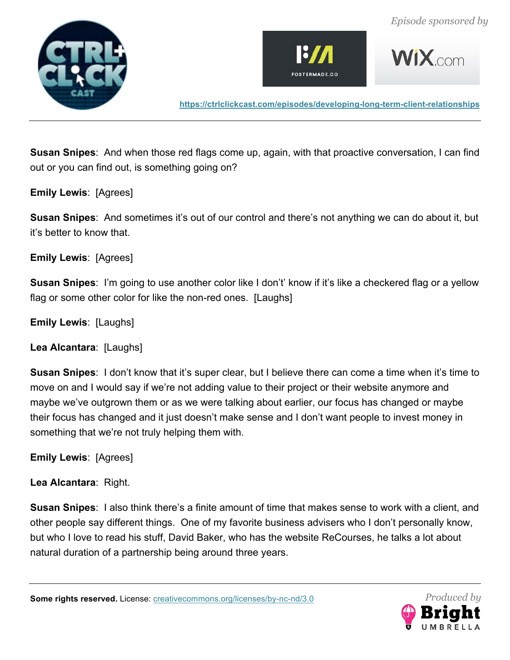







**Susan Snipes**: And when those red flags come up, again, with that proactive conversation, I can find out or you can find out, is something going on?

**Emily Lewis**: [Agrees]

**Susan Snipes**: And sometimes it's out of our control and there's not anything we can do about it, but it's better to know that.

**Emily Lewis**: [Agrees]

**Susan Snipes**: I'm going to use another color like I don't' know if it's like a checkered flag or a yellow flag or some other color for like the non-red ones. [Laughs]

**Emily Lewis**: [Laughs]

**Lea Alcantara**: [Laughs]

**Susan Snipes**: I don't know that it's super clear, but I believe there can come a time when it's time to move on and I would say if we're not adding value to their project or their website anymore and maybe we've outgrown them or as we were talking about earlier, our focus has changed or maybe their focus has changed and it just doesn't make sense and I don't want people to invest money in something that we're not truly helping them with.

**Emily Lewis**: [Agrees]

**Lea Alcantara**: Right.

**Susan Snipes**: I also think there's a finite amount of time that makes sense to work with a client, and other people say different things. One of my favorite business advisers who I don't personally know, but who I love to read his stuff, David Baker, who has the website ReCourses, he talks a lot about natural duration of a partnership being around three years.

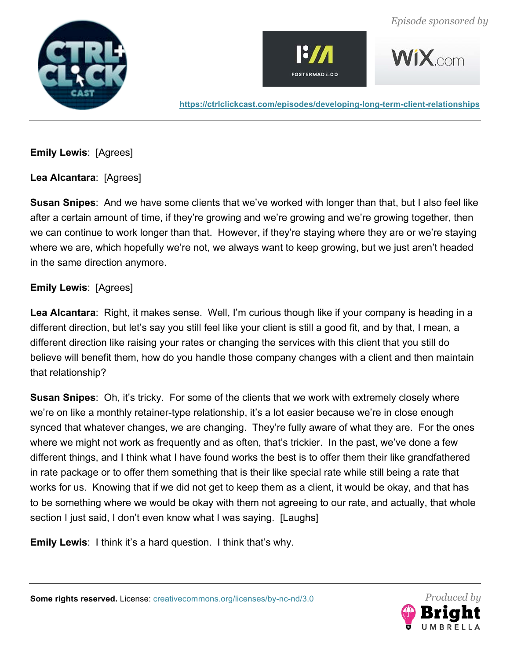





**WIX**com

**https://ctrlclickcast.com/episodes/developing-long-term-client-relationships**

**Emily Lewis**: [Agrees]

**Lea Alcantara**: [Agrees]

**Susan Snipes**: And we have some clients that we've worked with longer than that, but I also feel like after a certain amount of time, if they're growing and we're growing and we're growing together, then we can continue to work longer than that. However, if they're staying where they are or we're staying where we are, which hopefully we're not, we always want to keep growing, but we just aren't headed in the same direction anymore.

# **Emily Lewis**: [Agrees]

**Lea Alcantara**: Right, it makes sense. Well, I'm curious though like if your company is heading in a different direction, but let's say you still feel like your client is still a good fit, and by that, I mean, a different direction like raising your rates or changing the services with this client that you still do believe will benefit them, how do you handle those company changes with a client and then maintain that relationship?

**Susan Snipes**: Oh, it's tricky. For some of the clients that we work with extremely closely where we're on like a monthly retainer-type relationship, it's a lot easier because we're in close enough synced that whatever changes, we are changing. They're fully aware of what they are. For the ones where we might not work as frequently and as often, that's trickier. In the past, we've done a few different things, and I think what I have found works the best is to offer them their like grandfathered in rate package or to offer them something that is their like special rate while still being a rate that works for us. Knowing that if we did not get to keep them as a client, it would be okay, and that has to be something where we would be okay with them not agreeing to our rate, and actually, that whole section I just said, I don't even know what I was saying. [Laughs]

**Emily Lewis**: I think it's a hard question. I think that's why.

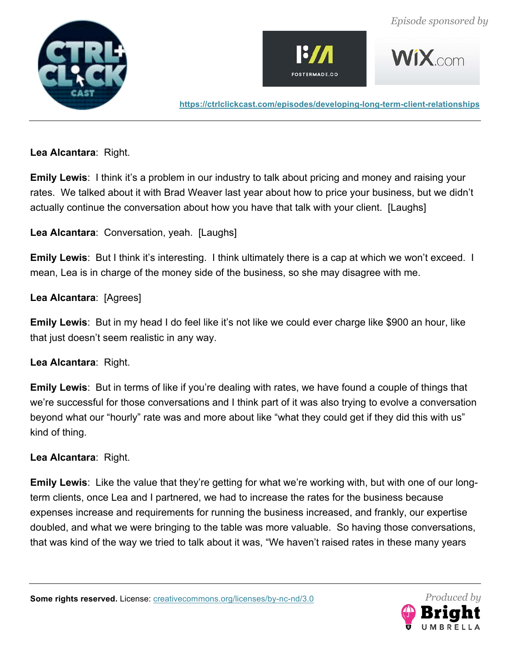







**Lea Alcantara**: Right.

**Emily Lewis:** I think it's a problem in our industry to talk about pricing and money and raising your rates. We talked about it with Brad Weaver last year about how to price your business, but we didn't actually continue the conversation about how you have that talk with your client. [Laughs]

**Lea Alcantara**: Conversation, yeah. [Laughs]

**Emily Lewis**: But I think it's interesting. I think ultimately there is a cap at which we won't exceed. I mean, Lea is in charge of the money side of the business, so she may disagree with me.

**Lea Alcantara**: [Agrees]

**Emily Lewis**: But in my head I do feel like it's not like we could ever charge like \$900 an hour, like that just doesn't seem realistic in any way.

**Lea Alcantara**: Right.

**Emily Lewis**: But in terms of like if you're dealing with rates, we have found a couple of things that we're successful for those conversations and I think part of it was also trying to evolve a conversation beyond what our "hourly" rate was and more about like "what they could get if they did this with us" kind of thing.

# **Lea Alcantara**: Right.

**Emily Lewis**: Like the value that they're getting for what we're working with, but with one of our longterm clients, once Lea and I partnered, we had to increase the rates for the business because expenses increase and requirements for running the business increased, and frankly, our expertise doubled, and what we were bringing to the table was more valuable. So having those conversations, that was kind of the way we tried to talk about it was, "We haven't raised rates in these many years

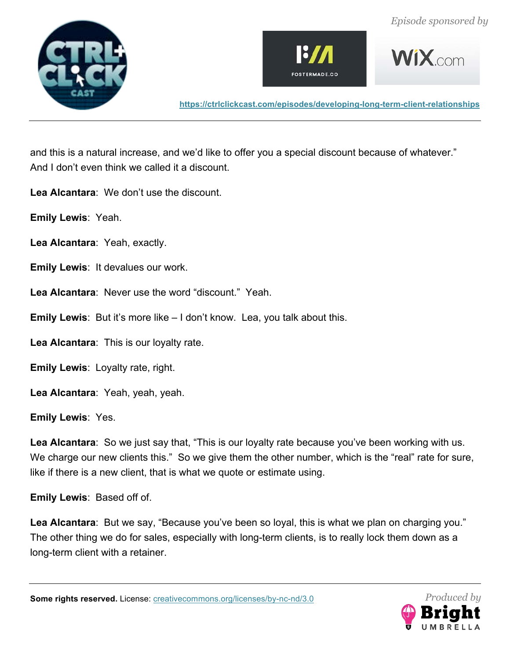







and this is a natural increase, and we'd like to offer you a special discount because of whatever." And I don't even think we called it a discount.

**Lea Alcantara**: We don't use the discount.

**Emily Lewis**: Yeah.

**Lea Alcantara**: Yeah, exactly.

**Emily Lewis**: It devalues our work.

**Lea Alcantara**: Never use the word "discount." Yeah.

**Emily Lewis**: But it's more like – I don't know. Lea, you talk about this.

**Lea Alcantara**: This is our loyalty rate.

**Emily Lewis**: Loyalty rate, right.

**Lea Alcantara**: Yeah, yeah, yeah.

**Emily Lewis**: Yes.

**Lea Alcantara**: So we just say that, "This is our loyalty rate because you've been working with us. We charge our new clients this." So we give them the other number, which is the "real" rate for sure, like if there is a new client, that is what we quote or estimate using.

**Emily Lewis**: Based off of.

**Lea Alcantara**: But we say, "Because you've been so loyal, this is what we plan on charging you." The other thing we do for sales, especially with long-term clients, is to really lock them down as a long-term client with a retainer.

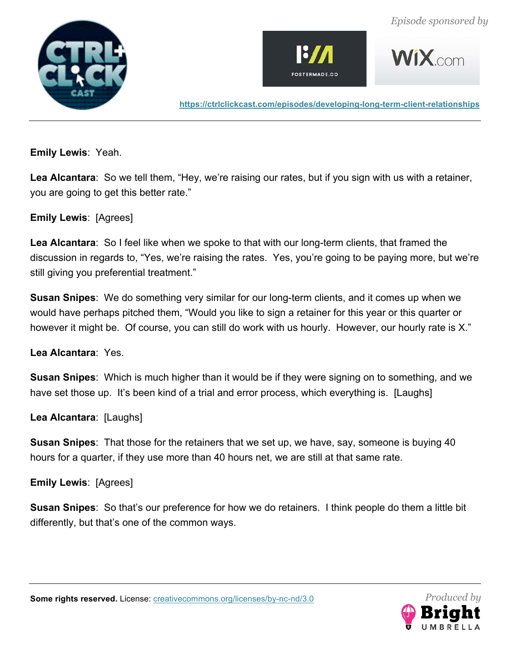







**Emily Lewis**: Yeah.

**Lea Alcantara**: So we tell them, "Hey, we're raising our rates, but if you sign with us with a retainer, you are going to get this better rate."

#### **Emily Lewis**: [Agrees]

**Lea Alcantara**: So I feel like when we spoke to that with our long-term clients, that framed the discussion in regards to, "Yes, we're raising the rates. Yes, you're going to be paying more, but we're still giving you preferential treatment."

**Susan Snipes**: We do something very similar for our long-term clients, and it comes up when we would have perhaps pitched them, "Would you like to sign a retainer for this year or this quarter or however it might be. Of course, you can still do work with us hourly. However, our hourly rate is X."

**Lea Alcantara**: Yes.

**Susan Snipes**: Which is much higher than it would be if they were signing on to something, and we have set those up. It's been kind of a trial and error process, which everything is. [Laughs]

**Lea Alcantara**: [Laughs]

**Susan Snipes**: That those for the retainers that we set up, we have, say, someone is buying 40 hours for a quarter, if they use more than 40 hours net, we are still at that same rate.

**Emily Lewis**: [Agrees]

**Susan Snipes**: So that's our preference for how we do retainers. I think people do them a little bit differently, but that's one of the common ways.

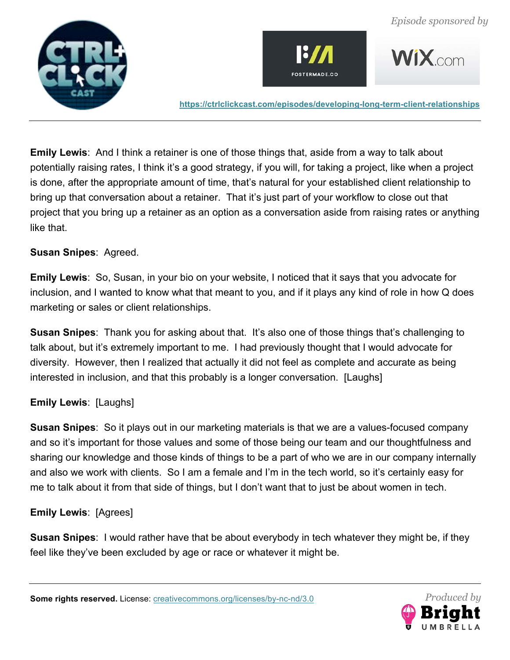





**Emily Lewis**: And I think a retainer is one of those things that, aside from a way to talk about potentially raising rates, I think it's a good strategy, if you will, for taking a project, like when a project is done, after the appropriate amount of time, that's natural for your established client relationship to bring up that conversation about a retainer. That it's just part of your workflow to close out that project that you bring up a retainer as an option as a conversation aside from raising rates or anything like that.

#### **Susan Snipes**: Agreed.

**Emily Lewis**: So, Susan, in your bio on your website, I noticed that it says that you advocate for inclusion, and I wanted to know what that meant to you, and if it plays any kind of role in how Q does marketing or sales or client relationships.

**Susan Snipes**: Thank you for asking about that. It's also one of those things that's challenging to talk about, but it's extremely important to me. I had previously thought that I would advocate for diversity. However, then I realized that actually it did not feel as complete and accurate as being interested in inclusion, and that this probably is a longer conversation. [Laughs]

# **Emily Lewis**: [Laughs]

**Susan Snipes**: So it plays out in our marketing materials is that we are a values-focused company and so it's important for those values and some of those being our team and our thoughtfulness and sharing our knowledge and those kinds of things to be a part of who we are in our company internally and also we work with clients. So I am a female and I'm in the tech world, so it's certainly easy for me to talk about it from that side of things, but I don't want that to just be about women in tech.

# **Emily Lewis**: [Agrees]

**Susan Snipes**: I would rather have that be about everybody in tech whatever they might be, if they feel like they've been excluded by age or race or whatever it might be.

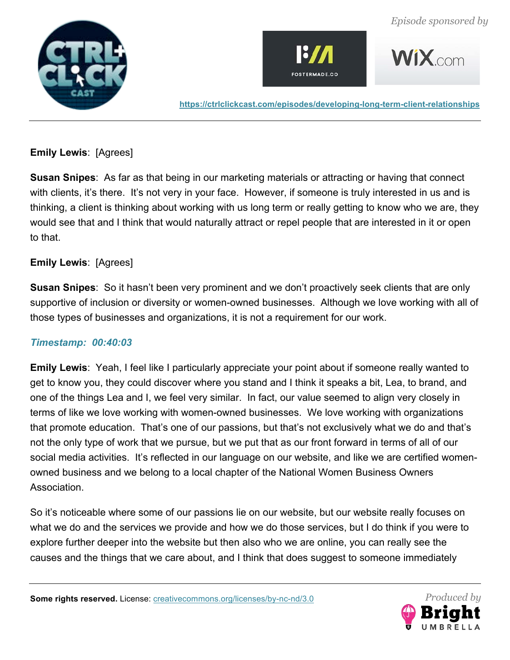





# **Emily Lewis**: [Agrees]

**Susan Snipes**: As far as that being in our marketing materials or attracting or having that connect with clients, it's there. It's not very in your face. However, if someone is truly interested in us and is thinking, a client is thinking about working with us long term or really getting to know who we are, they would see that and I think that would naturally attract or repel people that are interested in it or open to that.

# **Emily Lewis**: [Agrees]

**Susan Snipes**: So it hasn't been very prominent and we don't proactively seek clients that are only supportive of inclusion or diversity or women-owned businesses. Although we love working with all of those types of businesses and organizations, it is not a requirement for our work.

# *Timestamp: 00:40:03*

**Emily Lewis**: Yeah, I feel like I particularly appreciate your point about if someone really wanted to get to know you, they could discover where you stand and I think it speaks a bit, Lea, to brand, and one of the things Lea and I, we feel very similar. In fact, our value seemed to align very closely in terms of like we love working with women-owned businesses. We love working with organizations that promote education. That's one of our passions, but that's not exclusively what we do and that's not the only type of work that we pursue, but we put that as our front forward in terms of all of our social media activities. It's reflected in our language on our website, and like we are certified womenowned business and we belong to a local chapter of the National Women Business Owners Association.

So it's noticeable where some of our passions lie on our website, but our website really focuses on what we do and the services we provide and how we do those services, but I do think if you were to explore further deeper into the website but then also who we are online, you can really see the causes and the things that we care about, and I think that does suggest to someone immediately

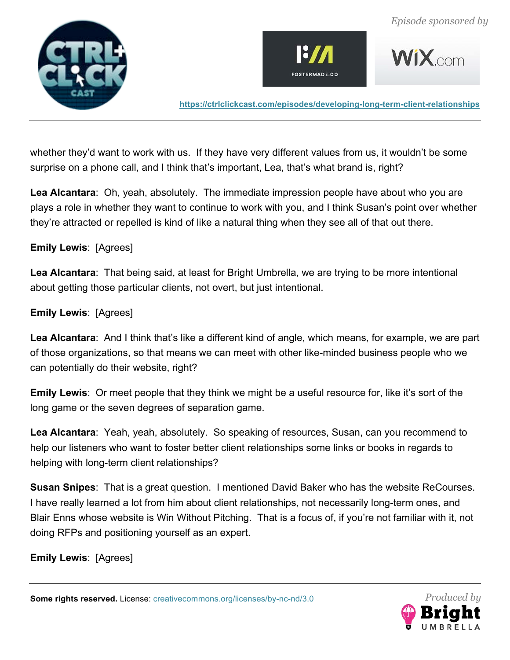





whether they'd want to work with us. If they have very different values from us, it wouldn't be some surprise on a phone call, and I think that's important, Lea, that's what brand is, right?

**Lea Alcantara**: Oh, yeah, absolutely. The immediate impression people have about who you are plays a role in whether they want to continue to work with you, and I think Susan's point over whether they're attracted or repelled is kind of like a natural thing when they see all of that out there.

#### **Emily Lewis**: [Agrees]

**Lea Alcantara**: That being said, at least for Bright Umbrella, we are trying to be more intentional about getting those particular clients, not overt, but just intentional.

#### **Emily Lewis**: [Agrees]

**Lea Alcantara**: And I think that's like a different kind of angle, which means, for example, we are part of those organizations, so that means we can meet with other like-minded business people who we can potentially do their website, right?

**Emily Lewis**: Or meet people that they think we might be a useful resource for, like it's sort of the long game or the seven degrees of separation game.

**Lea Alcantara**: Yeah, yeah, absolutely. So speaking of resources, Susan, can you recommend to help our listeners who want to foster better client relationships some links or books in regards to helping with long-term client relationships?

**Susan Snipes**: That is a great question. I mentioned David Baker who has the website ReCourses. I have really learned a lot from him about client relationships, not necessarily long-term ones, and Blair Enns whose website is Win Without Pitching. That is a focus of, if you're not familiar with it, not doing RFPs and positioning yourself as an expert.

**Emily Lewis**: [Agrees]

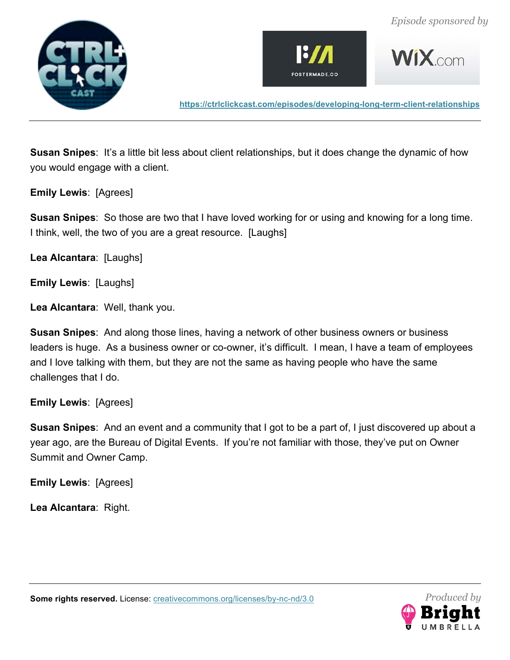







**Susan Snipes:** It's a little bit less about client relationships, but it does change the dynamic of how you would engage with a client.

**Emily Lewis**: [Agrees]

**Susan Snipes**: So those are two that I have loved working for or using and knowing for a long time. I think, well, the two of you are a great resource. [Laughs]

**Lea Alcantara**: [Laughs]

**Emily Lewis**: [Laughs]

**Lea Alcantara**: Well, thank you.

**Susan Snipes**: And along those lines, having a network of other business owners or business leaders is huge. As a business owner or co-owner, it's difficult. I mean, I have a team of employees and I love talking with them, but they are not the same as having people who have the same challenges that I do.

**Emily Lewis**: [Agrees]

**Susan Snipes**: And an event and a community that I got to be a part of, I just discovered up about a year ago, are the Bureau of Digital Events. If you're not familiar with those, they've put on Owner Summit and Owner Camp.

**Emily Lewis**: [Agrees]

**Lea Alcantara**: Right.

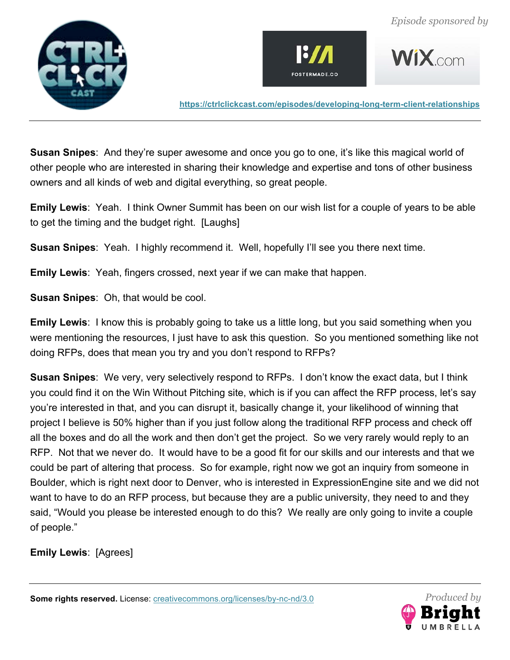







**Susan Snipes**: And they're super awesome and once you go to one, it's like this magical world of other people who are interested in sharing their knowledge and expertise and tons of other business owners and all kinds of web and digital everything, so great people.

**Emily Lewis**: Yeah. I think Owner Summit has been on our wish list for a couple of years to be able to get the timing and the budget right. [Laughs]

**Susan Snipes**: Yeah. I highly recommend it. Well, hopefully I'll see you there next time.

**Emily Lewis**: Yeah, fingers crossed, next year if we can make that happen.

**Susan Snipes**: Oh, that would be cool.

**Emily Lewis**: I know this is probably going to take us a little long, but you said something when you were mentioning the resources, I just have to ask this question. So you mentioned something like not doing RFPs, does that mean you try and you don't respond to RFPs?

**Susan Snipes**: We very, very selectively respond to RFPs. I don't know the exact data, but I think you could find it on the Win Without Pitching site, which is if you can affect the RFP process, let's say you're interested in that, and you can disrupt it, basically change it, your likelihood of winning that project I believe is 50% higher than if you just follow along the traditional RFP process and check off all the boxes and do all the work and then don't get the project. So we very rarely would reply to an RFP. Not that we never do. It would have to be a good fit for our skills and our interests and that we could be part of altering that process. So for example, right now we got an inquiry from someone in Boulder, which is right next door to Denver, who is interested in ExpressionEngine site and we did not want to have to do an RFP process, but because they are a public university, they need to and they said, "Would you please be interested enough to do this? We really are only going to invite a couple of people."

**Emily Lewis**: [Agrees]

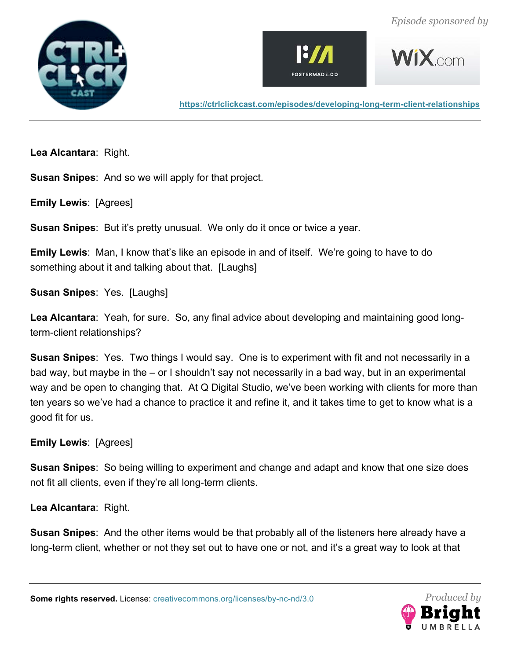







**Lea Alcantara**: Right.

**Susan Snipes**: And so we will apply for that project.

**Emily Lewis**: [Agrees]

**Susan Snipes**: But it's pretty unusual. We only do it once or twice a year.

**Emily Lewis**: Man, I know that's like an episode in and of itself. We're going to have to do something about it and talking about that. [Laughs]

**Susan Snipes**: Yes. [Laughs]

**Lea Alcantara**: Yeah, for sure. So, any final advice about developing and maintaining good longterm-client relationships?

**Susan Snipes**: Yes. Two things I would say. One is to experiment with fit and not necessarily in a bad way, but maybe in the – or I shouldn't say not necessarily in a bad way, but in an experimental way and be open to changing that. At Q Digital Studio, we've been working with clients for more than ten years so we've had a chance to practice it and refine it, and it takes time to get to know what is a good fit for us.

**Emily Lewis**: [Agrees]

**Susan Snipes**: So being willing to experiment and change and adapt and know that one size does not fit all clients, even if they're all long-term clients.

**Lea Alcantara**: Right.

**Susan Snipes**: And the other items would be that probably all of the listeners here already have a long-term client, whether or not they set out to have one or not, and it's a great way to look at that

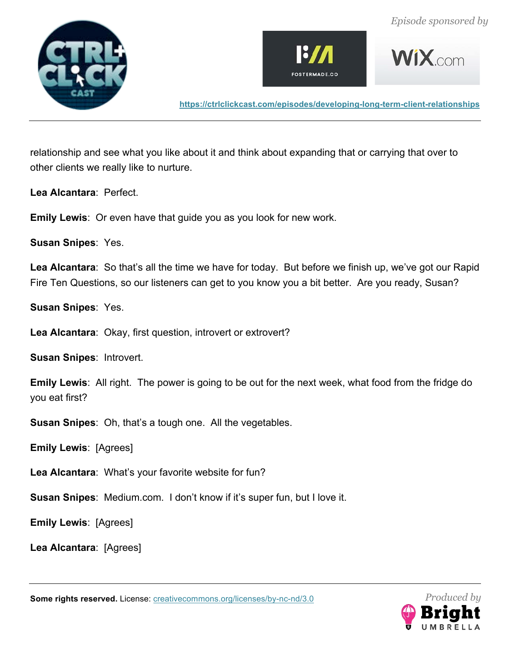







relationship and see what you like about it and think about expanding that or carrying that over to other clients we really like to nurture.

**Lea Alcantara**: Perfect.

**Emily Lewis**: Or even have that guide you as you look for new work.

**Susan Snipes**: Yes.

**Lea Alcantara**: So that's all the time we have for today. But before we finish up, we've got our Rapid Fire Ten Questions, so our listeners can get to you know you a bit better. Are you ready, Susan?

**Susan Snipes**: Yes.

**Lea Alcantara**: Okay, first question, introvert or extrovert?

**Susan Snipes**: Introvert.

**Emily Lewis**: All right. The power is going to be out for the next week, what food from the fridge do you eat first?

**Susan Snipes**: Oh, that's a tough one. All the vegetables.

**Emily Lewis**: [Agrees]

**Lea Alcantara**: What's your favorite website for fun?

**Susan Snipes**: Medium.com. I don't know if it's super fun, but I love it.

**Emily Lewis**: [Agrees]

**Lea Alcantara**: [Agrees]

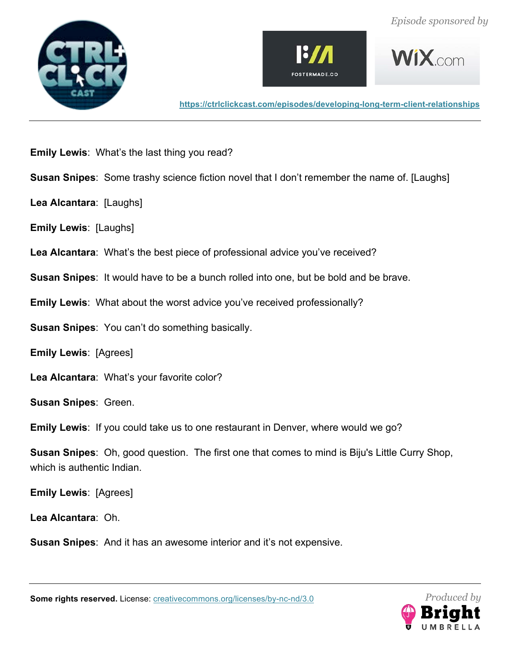







- **Emily Lewis**: What's the last thing you read?
- **Susan Snipes**: Some trashy science fiction novel that I don't remember the name of. [Laughs]
- **Lea Alcantara**: [Laughs]
- **Emily Lewis**: [Laughs]
- **Lea Alcantara**: What's the best piece of professional advice you've received?
- **Susan Snipes**: It would have to be a bunch rolled into one, but be bold and be brave.
- **Emily Lewis**: What about the worst advice you've received professionally?
- **Susan Snipes**: You can't do something basically.
- **Emily Lewis**: [Agrees]
- **Lea Alcantara**: What's your favorite color?
- **Susan Snipes**: Green.
- **Emily Lewis**: If you could take us to one restaurant in Denver, where would we go?
- **Susan Snipes**: Oh, good question. The first one that comes to mind is Biju's Little Curry Shop, which is authentic Indian.
- **Emily Lewis**: [Agrees]
- **Lea Alcantara**: Oh.
- **Susan Snipes**: And it has an awesome interior and it's not expensive.

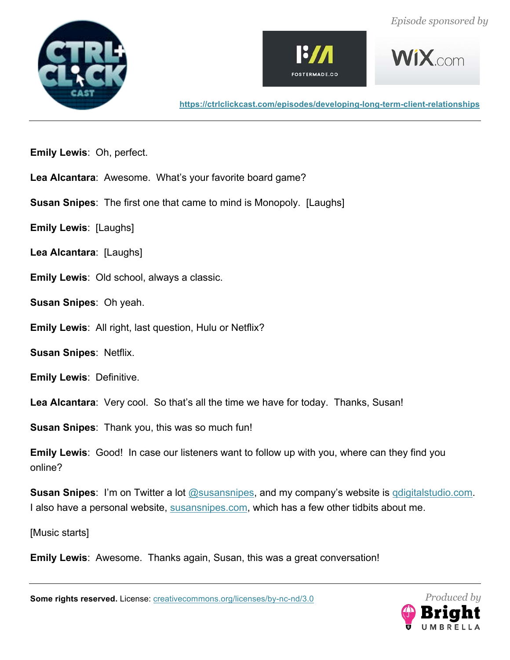





**WIX** com

**https://ctrlclickcast.com/episodes/developing-long-term-client-relationships**

- **Emily Lewis**: Oh, perfect.
- **Lea Alcantara**: Awesome. What's your favorite board game?
- **Susan Snipes**: The first one that came to mind is Monopoly. [Laughs]
- **Emily Lewis**: [Laughs]
- **Lea Alcantara**: [Laughs]
- **Emily Lewis**: Old school, always a classic.
- **Susan Snipes**: Oh yeah.
- **Emily Lewis**: All right, last question, Hulu or Netflix?
- **Susan Snipes**: Netflix.
- **Emily Lewis**: Definitive.
- **Lea Alcantara**: Very cool. So that's all the time we have for today. Thanks, Susan!
- **Susan Snipes**: Thank you, this was so much fun!
- **Emily Lewis**: Good! In case our listeners want to follow up with you, where can they find you online?
- **Susan Snipes**: I'm on Twitter a lot @susansnipes, and my company's website is qdigitalstudio.com. I also have a personal website, susansnipes.com, which has a few other tidbits about me.
- [Music starts]
- **Emily Lewis**: Awesome. Thanks again, Susan, this was a great conversation!